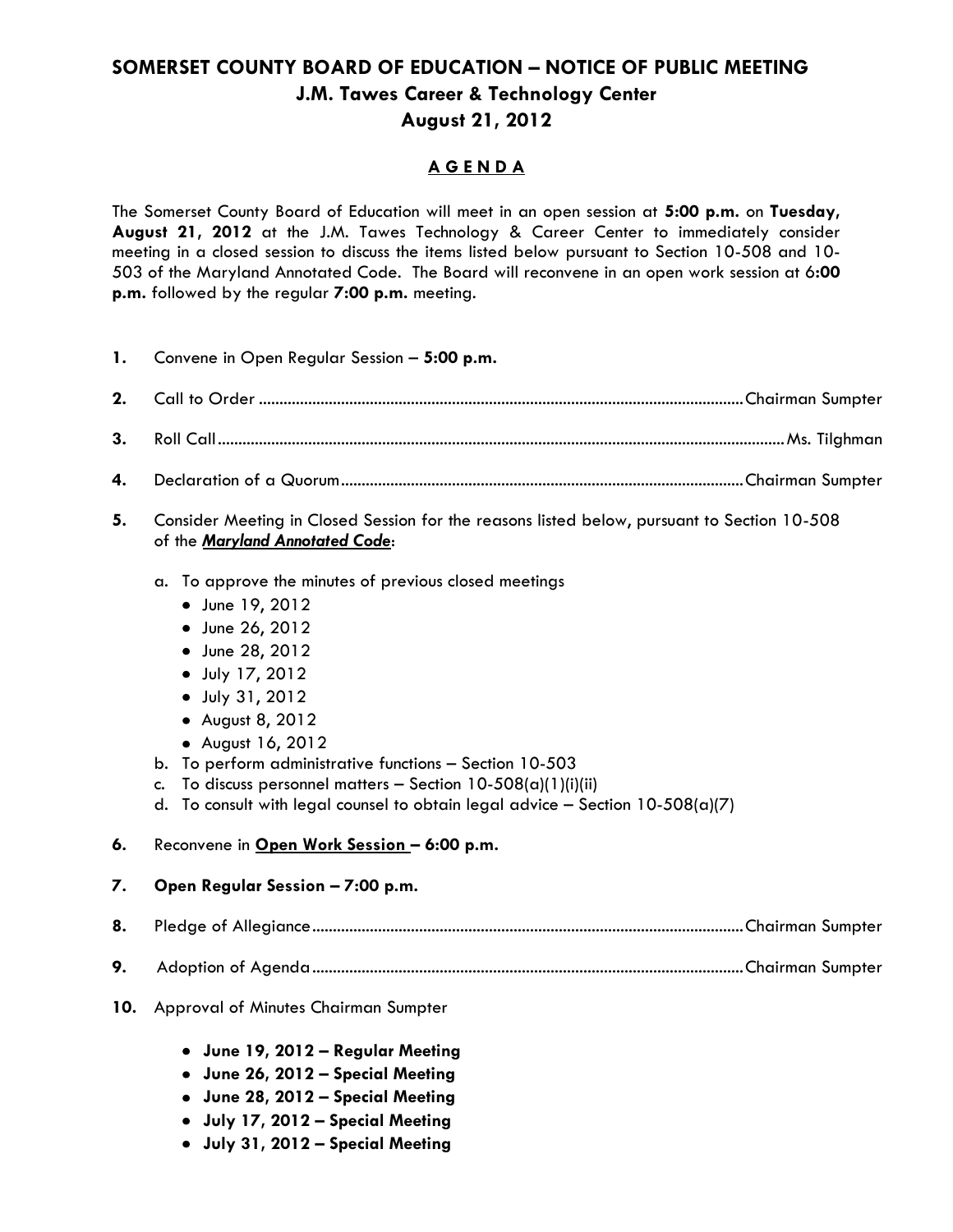## **SOMERSET COUNTY BOARD OF EDUCATION – NOTICE OF PUBLIC MEETING J.M. Tawes Career & Technology Center August 21, 2012**

### **A G E N D A**

The Somerset County Board of Education will meet in an open session at **5:00 p.m.** on **Tuesday, August 21, 2012** at the J.M. Tawes Technology & Career Center to immediately consider meeting in a closed session to discuss the items listed below pursuant to Section 10-508 and 10- 503 of the Maryland Annotated Code. The Board will reconvene in an open work session at 6**:00 p.m.** followed by the regular **7:00 p.m.** meeting.

**1.** Convene in Open Regular Session – **5:00 p.m.**

- **2.** Call to Order ......................................................................................................................Chairman Sumpter
- **3.** Roll Call..........................................................................................................................................Ms. Tilghman
- **4.** Declaration of a Quorum..................................................................................................Chairman Sumpter
- **5.** Consider Meeting in Closed Session for the reasons listed below, pursuant to Section 10-508 of the *Maryland Annotated Code*:
	- a. To approve the minutes of previous closed meetings
		- June 19, 2012
		- June 26, 2012
		- June 28, 2012
		- July 17, 2012
		- July 31, 2012
		- August 8, 2012
		- August 16, 2012
	- b. To perform administrative functions Section 10-503
	- c. To discuss personnel matters Section  $10-508(a)(1)(i)(ii)$
	- d. To consult with legal counsel to obtain legal advice  $-$  Section 10-508(a)(7)
- **6.** Reconvene in **Open Work Session – 6:00 p.m.**

#### **7. Open Regular Session – 7:00 p.m.**

- **8.** Pledge of Allegiance.........................................................................................................Chairman Sumpter
- **9.** Adoption of Agenda.........................................................................................................Chairman Sumpter
- **10.** Approval of Minutes Chairman Sumpter
	- **June 19, 2012 – Regular Meeting**
	- **June 26, 2012 – Special Meeting**
	- **June 28, 2012 – Special Meeting**
	- **July 17, 2012 – Special Meeting**
	- **July 31, 2012 – Special Meeting**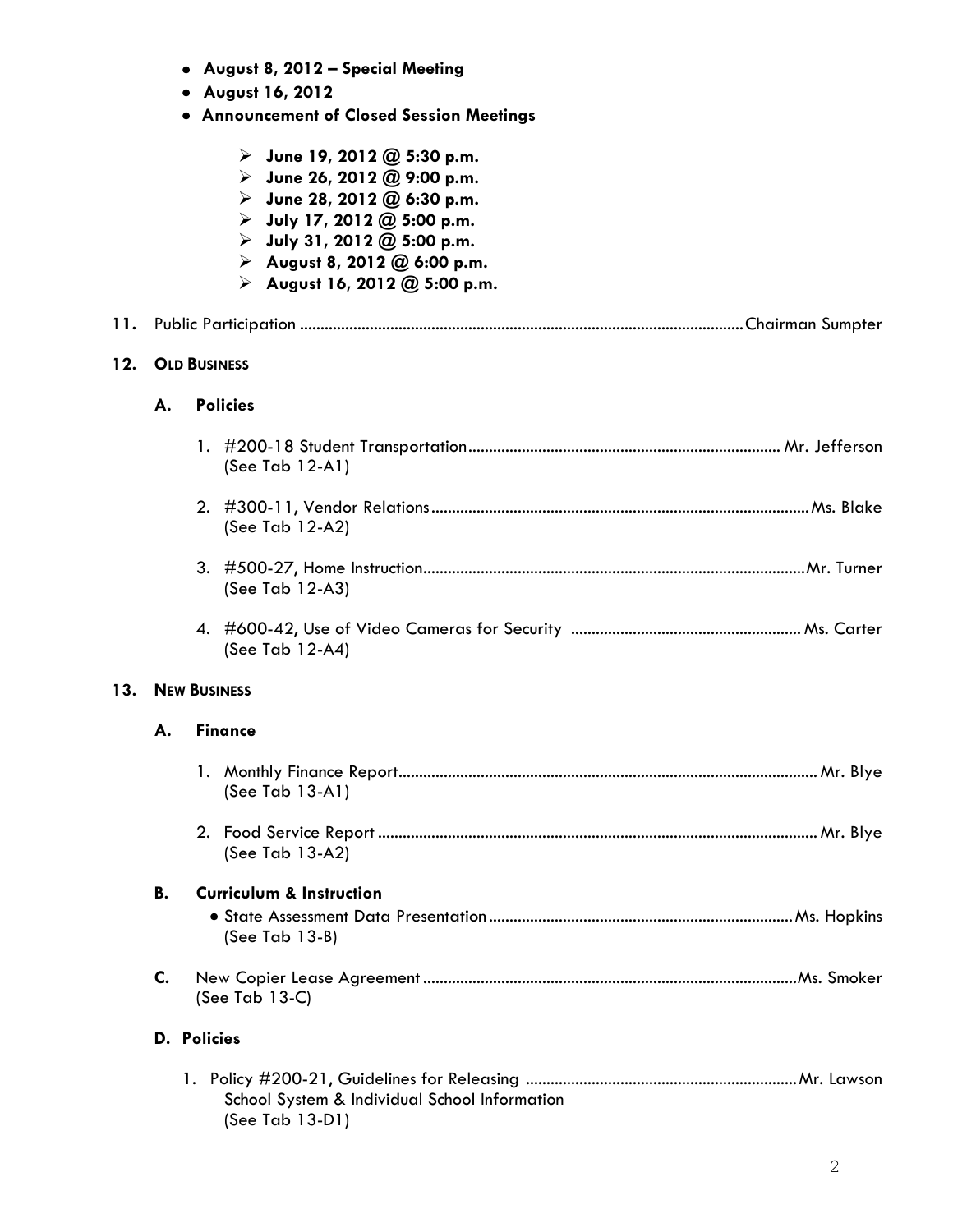- **August 8, 2012 – Special Meeting**
- **August 16, 2012**
- **Announcement of Closed Session Meetings**

|     |                     | $\triangleright$ June 19, 2012 @ 5:30 p.m.<br>$\triangleright$ June 26, 2012 @ 9:00 p.m.<br>$\triangleright$ June 28, 2012 @ 6:30 p.m.<br>$\triangleright$ July 17, 2012 @ 5:00 p.m.<br>$\triangleright$ July 31, 2012 @ 5:00 p.m.<br>August 8, 2012 @ 6:00 p.m.<br>August 16, 2012 @ 5:00 p.m. |
|-----|---------------------|-------------------------------------------------------------------------------------------------------------------------------------------------------------------------------------------------------------------------------------------------------------------------------------------------|
| 11. |                     |                                                                                                                                                                                                                                                                                                 |
| 12. | <b>OLD BUSINESS</b> |                                                                                                                                                                                                                                                                                                 |
|     | А.                  | <b>Policies</b>                                                                                                                                                                                                                                                                                 |
|     |                     | (See Tab 12-A1)                                                                                                                                                                                                                                                                                 |
|     |                     | (See Tab 12-A2)                                                                                                                                                                                                                                                                                 |
|     |                     | (See Tab 12-A3)                                                                                                                                                                                                                                                                                 |
|     |                     | (See Tab 12-A4)                                                                                                                                                                                                                                                                                 |
| 13. | <b>NEW BUSINESS</b> |                                                                                                                                                                                                                                                                                                 |
|     | А.                  | <b>Finance</b>                                                                                                                                                                                                                                                                                  |
|     |                     | (See Tab 13-A1)                                                                                                                                                                                                                                                                                 |
|     |                     | (See Tab 13-A2)                                                                                                                                                                                                                                                                                 |
|     | <b>B.</b>           | <b>Curriculum &amp; Instruction</b><br>$(See Tab 13-B)$                                                                                                                                                                                                                                         |
|     | C.                  | (See Tab $13-C$ )                                                                                                                                                                                                                                                                               |
|     |                     | <b>D.</b> Policies                                                                                                                                                                                                                                                                              |
|     |                     | School System & Individual School Information<br>(See Tab 13-D1)                                                                                                                                                                                                                                |